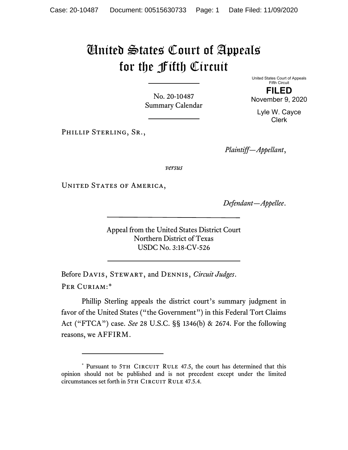# United States Court of Appeals for the Fifth Circuit

No. 20-10487 Summary Calendar United States Court of Appeals Fifth Circuit

FILED November 9, 2020

Lyle W. Cayce Clerk

PHILLIP STERLING, SR.,

Plaintiff—Appellant,

versus

UNITED STATES OF AMERICA,

Defendant—Appellee.

Appeal from the United States District Court Northern District of Texas USDC No. 3:18-CV-526

Before DAVIS, STEWART, and DENNIS, Circuit Judges. Per Curiam:\*

Phillip Sterling appeals the district court's summary judgment in favor of the United States ("the Government") in this Federal Tort Claims Act ("FTCA") case. See 28 U.S.C. §§ 1346(b) & 2674. For the following reasons, we AFFIRM.

<sup>\*</sup> Pursuant to 5TH CIRCUIT RULE 47.5, the court has determined that this opinion should not be published and is not precedent except under the limited circumstances set forth in 5TH CIRCUIT RULE 47.5.4.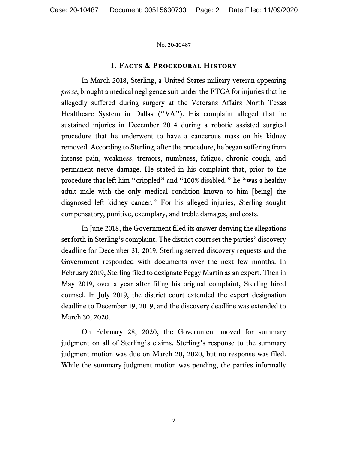# I. Facts & Procedural History

In March 2018, Sterling, a United States military veteran appearing *pro se*, brought a medical negligence suit under the FTCA for injuries that he allegedly suffered during surgery at the Veterans Affairs North Texas Healthcare System in Dallas ("VA"). His complaint alleged that he sustained injuries in December 2014 during a robotic assisted surgical procedure that he underwent to have a cancerous mass on his kidney removed. According to Sterling, after the procedure, he began suffering from intense pain, weakness, tremors, numbness, fatigue, chronic cough, and permanent nerve damage. He stated in his complaint that, prior to the procedure that left him "crippled" and "100% disabled," he "was a healthy adult male with the only medical condition known to him [being] the diagnosed left kidney cancer." For his alleged injuries, Sterling sought compensatory, punitive, exemplary, and treble damages, and costs.

 In June 2018, the Government filed its answer denying the allegations set forth in Sterling's complaint. The district court set the parties' discovery deadline for December 31, 2019. Sterling served discovery requests and the Government responded with documents over the next few months. In February 2019, Sterling filed to designate Peggy Martin as an expert. Then in May 2019, over a year after filing his original complaint, Sterling hired counsel. In July 2019, the district court extended the expert designation deadline to December 19, 2019, and the discovery deadline was extended to March 30, 2020.

On February 28, 2020, the Government moved for summary judgment on all of Sterling's claims. Sterling's response to the summary judgment motion was due on March 20, 2020, but no response was filed. While the summary judgment motion was pending, the parties informally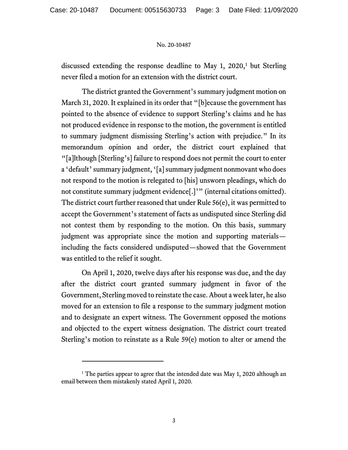discussed extending the response deadline to May 1, 2020,<sup>1</sup> but Sterling never filed a motion for an extension with the district court.

The district granted the Government's summary judgment motion on March 31, 2020. It explained in its order that "[b]ecause the government has pointed to the absence of evidence to support Sterling's claims and he has not produced evidence in response to the motion, the government is entitled to summary judgment dismissing Sterling's action with prejudice." In its memorandum opinion and order, the district court explained that "[a]lthough [Sterling's] failure to respond does not permit the court to enter a 'default' summary judgment, '[a] summary judgment nonmovant who does not respond to the motion is relegated to [his] unsworn pleadings, which do not constitute summary judgment evidence[.]'" (internal citations omitted). The district court further reasoned that under Rule 56(e), it was permitted to accept the Government's statement of facts as undisputed since Sterling did not contest them by responding to the motion. On this basis, summary judgment was appropriate since the motion and supporting materials including the facts considered undisputed—showed that the Government was entitled to the relief it sought.

On April 1, 2020, twelve days after his response was due, and the day after the district court granted summary judgment in favor of the Government, Sterling moved to reinstate the case. About a week later, he also moved for an extension to file a response to the summary judgment motion and to designate an expert witness. The Government opposed the motions and objected to the expert witness designation. The district court treated Sterling's motion to reinstate as a Rule 59(e) motion to alter or amend the

<sup>&</sup>lt;sup>1</sup> The parties appear to agree that the intended date was May 1, 2020 although an email between them mistakenly stated April 1, 2020.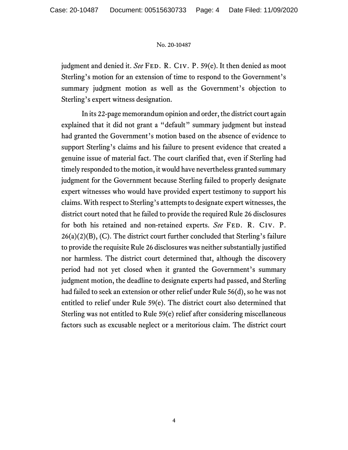judgment and denied it. See FED. R. CIV. P. 59(e). It then denied as moot Sterling's motion for an extension of time to respond to the Government's summary judgment motion as well as the Government's objection to Sterling's expert witness designation.

In its 22-page memorandum opinion and order, the district court again explained that it did not grant a "default" summary judgment but instead had granted the Government's motion based on the absence of evidence to support Sterling's claims and his failure to present evidence that created a genuine issue of material fact. The court clarified that, even if Sterling had timely responded to the motion, it would have nevertheless granted summary judgment for the Government because Sterling failed to properly designate expert witnesses who would have provided expert testimony to support his claims. With respect to Sterling's attempts to designate expert witnesses, the district court noted that he failed to provide the required Rule 26 disclosures for both his retained and non-retained experts. See FED. R. CIV. P.  $26(a)(2)(B)$ , (C). The district court further concluded that Sterling's failure to provide the requisite Rule 26 disclosures was neither substantially justified nor harmless. The district court determined that, although the discovery period had not yet closed when it granted the Government's summary judgment motion, the deadline to designate experts had passed, and Sterling had failed to seek an extension or other relief under Rule 56(d), so he was not entitled to relief under Rule 59(e). The district court also determined that Sterling was not entitled to Rule 59(e) relief after considering miscellaneous factors such as excusable neglect or a meritorious claim. The district court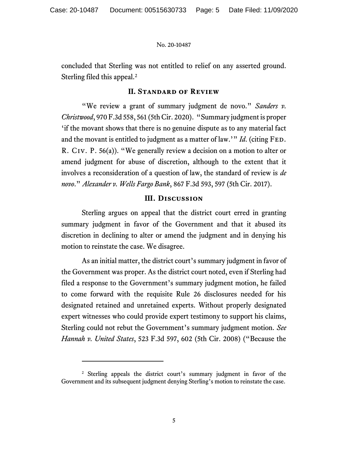concluded that Sterling was not entitled to relief on any asserted ground. Sterling filed this appeal.<sup>2</sup>

## II. Standard of Review

"We review a grant of summary judgment de novo." Sanders v. Christwood, 970 F.3d 558, 561 (5th Cir. 2020). "Summary judgment is proper 'if the movant shows that there is no genuine dispute as to any material fact and the movant is entitled to judgment as a matter of law.'" Id. (citing  $FED$ . R. Civ. P. 56(a)). "We generally review a decision on a motion to alter or amend judgment for abuse of discretion, although to the extent that it involves a reconsideration of a question of law, the standard of review is de novo." Alexander v. Wells Fargo Bank, 867 F.3d 593, 597 (5th Cir. 2017).

# III. Discussion

 Sterling argues on appeal that the district court erred in granting summary judgment in favor of the Government and that it abused its discretion in declining to alter or amend the judgment and in denying his motion to reinstate the case. We disagree.

 As an initial matter, the district court's summary judgment in favor of the Government was proper. As the district court noted, even if Sterling had filed a response to the Government's summary judgment motion, he failed to come forward with the requisite Rule 26 disclosures needed for his designated retained and unretained experts. Without properly designated expert witnesses who could provide expert testimony to support his claims, Sterling could not rebut the Government's summary judgment motion. See Hannah v. United States, 523 F.3d 597, 602 (5th Cir. 2008) ("Because the

<sup>&</sup>lt;sup>2</sup> Sterling appeals the district court's summary judgment in favor of the Government and its subsequent judgment denying Sterling's motion to reinstate the case.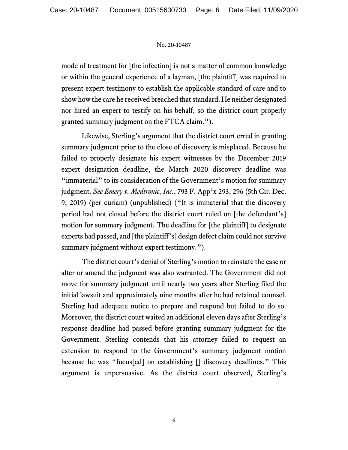mode of treatment for [the infection] is not a matter of common knowledge or within the general experience of a layman, [the plaintiff] was required to present expert testimony to establish the applicable standard of care and to show how the care he received breached that standard. He neither designated nor hired an expert to testify on his behalf, so the district court properly granted summary judgment on the FTCA claim.").

Likewise, Sterling's argument that the district court erred in granting summary judgment prior to the close of discovery is misplaced. Because he failed to properly designate his expert witnesses by the December 2019 expert designation deadline, the March 2020 discovery deadline was "immaterial" to its consideration of the Government's motion for summary judgment. See Emery v. Medtronic, Inc., 793 F. App'x 293, 296 (5th Cir. Dec. 9, 2019) (per curiam) (unpublished) ("It is immaterial that the discovery period had not closed before the district court ruled on [the defendant's] motion for summary judgment. The deadline for [the plaintiff] to designate experts had passed, and [the plaintiff's] design defect claim could not survive summary judgment without expert testimony.").

The district court's denial of Sterling's motion to reinstate the case or alter or amend the judgment was also warranted. The Government did not move for summary judgment until nearly two years after Sterling filed the initial lawsuit and approximately nine months after he had retained counsel. Sterling had adequate notice to prepare and respond but failed to do so. Moreover, the district court waited an additional eleven days after Sterling's response deadline had passed before granting summary judgment for the Government. Sterling contends that his attorney failed to request an extension to respond to the Government's summary judgment motion because he was "focus[ed] on establishing [] discovery deadlines." This argument is unpersuasive. As the district court observed, Sterling's